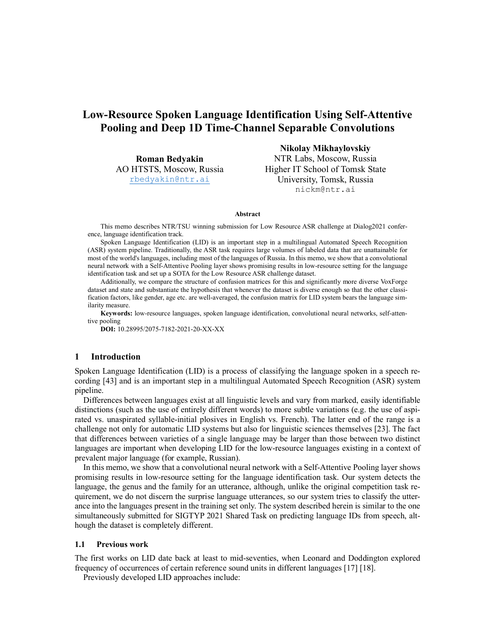# Low-Resource Spoken Language Identification Using Self-Attentive Pooling and Deep 1D Time-Channel Separable Convolutions

Roman Bedyakin AO HTSTS, Moscow, Russia rbedyakin@ntr.ai

Nikolay Mikhaylovskiy NTR Labs, Moscow, Russia Higher IT School of Tomsk State University, Tomsk, Russia nickm@ntr.ai

#### Abstract

This memo describes NTR/TSU winning submission for Low Resource ASR challenge at Dialog2021 conference, language identification track.

Spoken Language Identification (LID) is an important step in a multilingual Automated Speech Recognition (ASR) system pipeline. Traditionally, the ASR task requires large volumes of labeled data that are unattainable for most of the world's languages, including most of the languages of Russia. In this memo, we show that a convolutional neural network with a Self-Attentive Pooling layer shows promising results in low-resource setting for the language identification task and set up a SOTA for the Low Resource ASR challenge dataset.

Additionally, we compare the structure of confusion matrices for this and significantly more diverse VoxForge dataset and state and substantiate the hypothesis that whenever the dataset is diverse enough so that the other classification factors, like gender, age etc. are well-averaged, the confusion matrix for LID system bears the language similarity measure.

Keywords: low-resource languages, spoken language identification, convolutional neural networks, self-attentive pooling

DOI: 10.28995/2075-7182-2021-20-XX-XX

## 1 Introduction

Spoken Language Identification (LID) is a process of classifying the language spoken in a speech recording [43] and is an important step in a multilingual Automated Speech Recognition (ASR) system pipeline.

Differences between languages exist at all linguistic levels and vary from marked, easily identifiable distinctions (such as the use of entirely different words) to more subtle variations (e.g. the use of aspirated vs. unaspirated syllable-initial plosives in English vs. French). The latter end of the range is a challenge not only for automatic LID systems but also for linguistic sciences themselves [23]. The fact that differences between varieties of a single language may be larger than those between two distinct languages are important when developing LID for the low-resource languages existing in a context of prevalent major language (for example, Russian).

In this memo, we show that a convolutional neural network with a Self-Attentive Pooling layer shows promising results in low-resource setting for the language identification task. Our system detects the language, the genus and the family for an utterance, although, unlike the original competition task requirement, we do not discern the surprise language utterances, so our system tries to classify the utterance into the languages present in the training set only. The system described herein is similar to the one simultaneously submitted for SIGTYP 2021 Shared Task on predicting language IDs from speech, although the dataset is completely different.

## 1.1 Previous work

The first works on LID date back at least to mid-seventies, when Leonard and Doddington explored frequency of occurrences of certain reference sound units in different languages [17] [18].

Previously developed LID approaches include: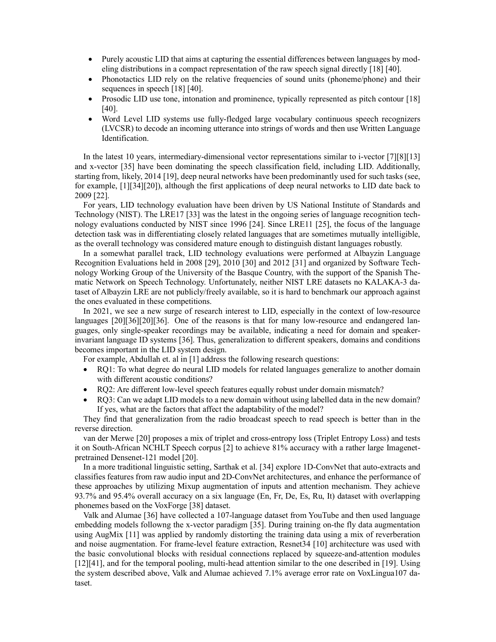- Purely acoustic LID that aims at capturing the essential differences between languages by modeling distributions in a compact representation of the raw speech signal directly [18] [40].
- Phonotactics LID rely on the relative frequencies of sound units (phoneme/phone) and their sequences in speech [18] [40].
- Prosodic LID use tone, intonation and prominence, typically represented as pitch contour [18] [40].
- Word Level LID systems use fully-fledged large vocabulary continuous speech recognizers (LVCSR) to decode an incoming utterance into strings of words and then use Written Language Identification.

In the latest 10 years, intermediary-dimensional vector representations similar to i-vector [7][8][13] and x-vector [35] have been dominating the speech classification field, including LID. Additionally, starting from, likely, 2014 [19], deep neural networks have been predominantly used for such tasks (see, for example, [1][34][20]), although the first applications of deep neural networks to LID date back to 2009 [22].

For years, LID technology evaluation have been driven by US National Institute of Standards and Technology (NIST). The LRE17 [33] was the latest in the ongoing series of language recognition technology evaluations conducted by NIST since 1996 [24]. Since LRE11 [25], the focus of the language detection task was in differentiating closely related languages that are sometimes mutually intelligible, as the overall technology was considered mature enough to distinguish distant languages robustly.

In a somewhat parallel track, LID technology evaluations were performed at Albayzin Language Recognition Evaluations held in 2008 [29], 2010 [30] and 2012 [31] and organized by Software Technology Working Group of the University of the Basque Country, with the support of the Spanish Thematic Network on Speech Technology. Unfortunately, neither NIST LRE datasets no KALAKA-3 dataset of Albayzin LRE are not publicly/freely available, so it is hard to benchmark our approach against the ones evaluated in these competitions.

In 2021, we see a new surge of research interest to LID, especially in the context of low-resource languages [20][36][20][36]. One of the reasons is that for many low-resource and endangered languages, only single-speaker recordings may be available, indicating a need for domain and speakerinvariant language ID systems [36]. Thus, generalization to different speakers, domains and conditions becomes important in the LID system design.

For example, Abdullah et. al in [1] address the following research questions:

- RQ1: To what degree do neural LID models for related languages generalize to another domain with different acoustic conditions?
- RQ2: Are different low-level speech features equally robust under domain mismatch?
- RQ3: Can we adapt LID models to a new domain without using labelled data in the new domain? If yes, what are the factors that affect the adaptability of the model?

They find that generalization from the radio broadcast speech to read speech is better than in the reverse direction.

van der Merwe [20] proposes a mix of triplet and cross-entropy loss (Triplet Entropy Loss) and tests it on South-African NCHLT Speech corpus [2] to achieve 81% accuracy with a rather large Imagenetpretrained Densenet-121 model [20].

In a more traditional linguistic setting, Sarthak et al. [34] explore 1D-ConvNet that auto-extracts and classifies features from raw audio input and 2D-ConvNet architectures, and enhance the performance of these approaches by utilizing Mixup augmentation of inputs and attention mechanism. They achieve 93.7% and 95.4% overall accuracy on a six language (En, Fr, De, Es, Ru, It) dataset with overlapping phonemes based on the VoxForge [38] dataset.

Valk and Alumae [36] have collected a 107-language dataset from YouTube and then used language embedding models followng the x-vector paradigm [35]. During training on-the fly data augmentation using AugMix [11] was applied by randomly distorting the training data using a mix of reverberation and noise augmentation. For frame-level feature extraction, Resnet34 [10] architecture was used with the basic convolutional blocks with residual connections replaced by squeeze-and-attention modules [12][41], and for the temporal pooling, multi-head attention similar to the one described in [19]. Using the system described above, Valk and Alumae achieved 7.1% average error rate on VoxLingua107 dataset.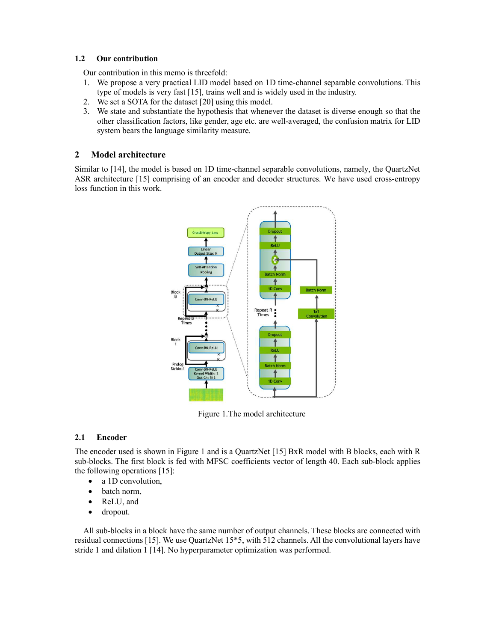## 1.2 Our contribution

Our contribution in this memo is threefold:

- 1. We propose a very practical LID model based on 1D time-channel separable convolutions. This type of models is very fast [15], trains well and is widely used in the industry.
- 2. We set a SOTA for the dataset [20] using this model.
- 3. We state and substantiate the hypothesis that whenever the dataset is diverse enough so that the other classification factors, like gender, age etc. are well-averaged, the confusion matrix for LID system bears the language similarity measure.

# 2 Model architecture

Similar to [14], the model is based on 1D time-channel separable convolutions, namely, the QuartzNet ASR architecture [15] comprising of an encoder and decoder structures. We have used cross-entropy loss function in this work.



Figure 1.The model architecture

# 2.1 Encoder

The encoder used is shown in Figure 1 and is a QuartzNet [15] BxR model with B blocks, each with R sub-blocks. The first block is fed with MFSC coefficients vector of length 40. Each sub-block applies the following operations [15]:

- a 1D convolution,
- batch norm,
- ReLU, and
- dropout.

All sub-blocks in a block have the same number of output channels. These blocks are connected with residual connections [15]. We use QuartzNet 15\*5, with 512 channels. All the convolutional layers have stride 1 and dilation 1 [14]. No hyperparameter optimization was performed.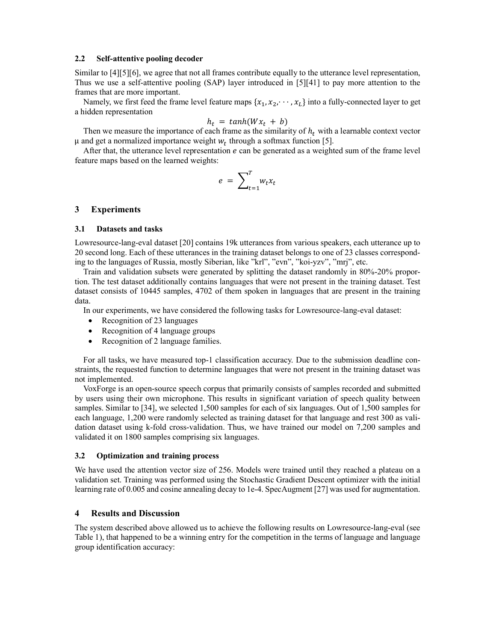#### 2.2 Self-attentive pooling decoder

Similar to [4][5][6], we agree that not all frames contribute equally to the utterance level representation, Thus we use a self-attentive pooling (SAP) layer introduced in [5][41] to pay more attention to the frames that are more important.

Namely, we first feed the frame level feature maps  $\{x_1, x_2, \dots, x_L\}$  into a fully-connected layer to get a hidden representation

$$
h_t = \tanh(Wx_t + b)
$$

Then we measure the importance of each frame as the similarity of  $h_t$  with a learnable context vector  $\mu$  and get a normalized importance weight  $w_t$  through a softmax function [5].

After that, the utterance level representation  $e$  can be generated as a weighted sum of the frame level feature maps based on the learned weights:

$$
e = \sum_{t=1}^{T} w_t x_t
$$

## 3 Experiments

#### 3.1 Datasets and tasks

Lowresource-lang-eval dataset [20] contains 19k utterances from various speakers, each utterance up to 20 second long. Each of these utterances in the training dataset belongs to one of 23 classes corresponding to the languages of Russia, mostly Siberian, like "krl", "evn", "koi-yzv", "mrj", etc.

Train and validation subsets were generated by splitting the dataset randomly in 80%-20% proportion. The test dataset additionally contains languages that were not present in the training dataset. Test dataset consists of 10445 samples, 4702 of them spoken in languages that are present in the training data.

In our experiments, we have considered the following tasks for Lowresource-lang-eval dataset:

- Recognition of 23 languages
- Recognition of 4 language groups
- Recognition of 2 language families.

For all tasks, we have measured top-1 classification accuracy. Due to the submission deadline constraints, the requested function to determine languages that were not present in the training dataset was not implemented.

VoxForge is an open-source speech corpus that primarily consists of samples recorded and submitted by users using their own microphone. This results in significant variation of speech quality between samples. Similar to [34], we selected 1,500 samples for each of six languages. Out of 1,500 samples for each language, 1,200 were randomly selected as training dataset for that language and rest 300 as validation dataset using k-fold cross-validation. Thus, we have trained our model on 7,200 samples and validated it on 1800 samples comprising six languages.

#### 3.2 Optimization and training process

We have used the attention vector size of 256. Models were trained until they reached a plateau on a validation set. Training was performed using the Stochastic Gradient Descent optimizer with the initial learning rate of 0.005 and cosine annealing decay to 1e-4. SpecAugment [27] was used for augmentation.

## 4 Results and Discussion

The system described above allowed us to achieve the following results on Lowresource-lang-eval (see Table 1), that happened to be a winning entry for the competition in the terms of language and language group identification accuracy: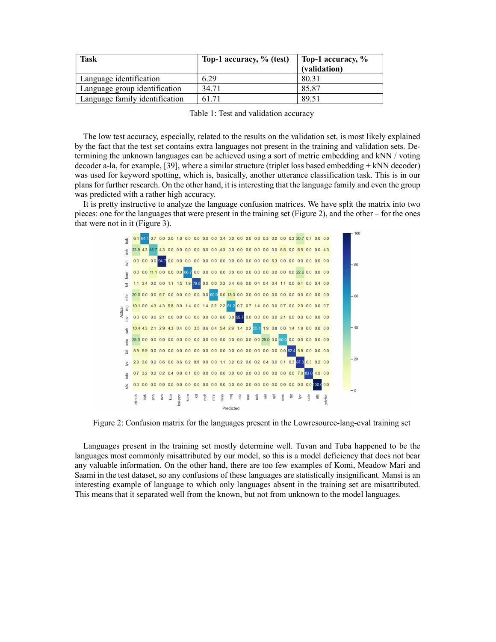| <b>Task</b>                    | Top-1 accuracy, % (test) | Top-1 accuracy, % |
|--------------------------------|--------------------------|-------------------|
|                                |                          | (validation)      |
| Language identification        | 6.29                     | 80.31             |
| Language group identification  | 34.71                    | 85.87             |
| Language family identification | 61.71                    | 89.51             |

Table 1: Test and validation accuracy

The low test accuracy, especially, related to the results on the validation set, is most likely explained by the fact that the test set contains extra languages not present in the training and validation sets. Determining the unknown languages can be achieved using a sort of metric embedding and kNN / voting decoder a-la, for example, [39], where a similar structure (triplet loss based embedding + kNN decoder) was used for keyword spotting, which is, basically, another utterance classification task. This is in our plans for further research. On the other hand, it is interesting that the language family and even the group was predicted with a rather high accuracy.

It is pretty instructive to analyze the language confusion matrices. We have split the matrix into two pieces: one for the languages that were present in the training set (Figure 2), and the other – for the ones that were not in it (Figure 3).



Figure 2: Confusion matrix for the languages present in the Lowresource-lang-eval training set

Languages present in the training set mostly determine well. Tuvan and Tuba happened to be the languages most commonly misattributed by our model, so this is a model deficiency that does not bear any valuable information. On the other hand, there are too few examples of Komi, Meadow Mari and Saami in the test dataset, so any confusions of these languages are statistically insignificant. Mansi is an interesting example of language to which only languages absent in the training set are misattributed. This means that it separated well from the known, but not from unknown to the model languages.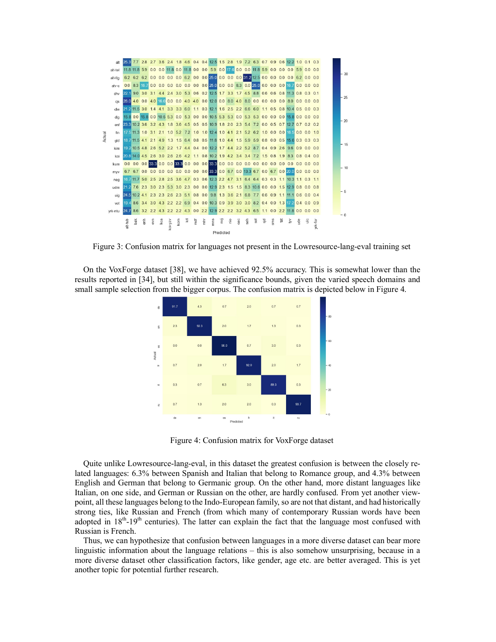

Figure 3: Confusion matrix for languages not present in the Lowresource-lang-eval training set

On the VoxForge dataset [38], we have achieved 92.5% accuracy. This is somewhat lower than the results reported in [34], but still within the significance bounds, given the varied speech domains and small sample selection from the bigger corpus. The confusion matrix is depicted below in Figure 4.



Figure 4: Confusion matrix for VoxForge dataset

Quite unlike Lowresource-lang-eval, in this dataset the greatest confusion is between the closely related languages: 6.3% between Spanish and Italian that belong to Romance group, and 4.3% between English and German that belong to Germanic group. On the other hand, more distant languages like Italian, on one side, and German or Russian on the other, are hardly confused. From yet another viewpoint, all these languages belong to the Indo-European family, so are not that distant, and had historically strong ties, like Russian and French (from which many of contemporary Russian words have been adopted in 18<sup>th</sup>-19<sup>th</sup> centuries). The latter can explain the fact that the language most confused with Russian is French.

Thus, we can hypothesize that confusion between languages in a more diverse dataset can bear more linguistic information about the language relations – this is also somehow unsurprising, because in a more diverse dataset other classification factors, like gender, age etc. are better averaged. This is yet another topic for potential further research.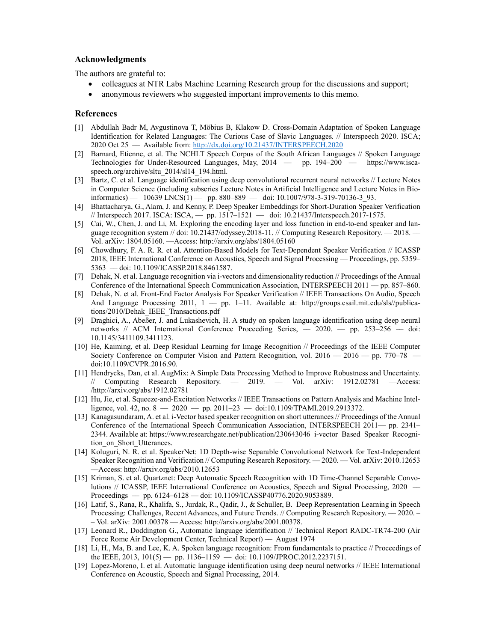## Acknowledgments

The authors are grateful to:

- colleagues at NTR Labs Machine Learning Research group for the discussions and support;
- anonymous reviewers who suggested important improvements to this memo.

## References

- [1] Abdullah Badr M, Avgustinova T, Möbius B, Klakow D. Cross-Domain Adaptation of Spoken Language Identification for Related Languages: The Curious Case of Slavic Languages. // Interspeech 2020. ISCA; 2020 Oct 25 –– Available from: http://dx.doi.org/10.21437/INTERSPEECH.2020
- [2] Barnard, Etienne, et al. The NCHLT Speech Corpus of the South African Languages // Spoken Language Technologies for Under-Resourced Languages, May, 2014 –– pp. 194–200 –– https://www.iscaspeech.org/archive/sltu\_2014/sl14\_194.html.
- [3] Bartz, C. et al. Language identification using deep convolutional recurrent neural networks // Lecture Notes in Computer Science (including subseries Lecture Notes in Artificial Intelligence and Lecture Notes in Bioinformatics) —  $10639$  LNCS(1) — pp. 880-889 — doi: 10.1007/978-3-319-70136-3 93.
- [4] Bhattacharya, G., Alam, J. and Kenny, P. Deep Speaker Embeddings for Short-Duration Speaker Verification // Interspeech 2017. ISCA: ISCA, –– pp. 1517–1521 –– doi: 10.21437/Interspeech.2017-1575.
- [5] Cai, W., Chen, J. and Li, M. Exploring the encoding layer and loss function in end-to-end speaker and language recognition system // doi: 10.21437/odyssey.2018-11. // Computing Research Repository. –– 2018. –– Vol. arXiv: 1804.05160. ––Access: http://arxiv.org/abs/1804.05160
- [6] Chowdhury, F. A. R. R. et al. Attention-Based Models for Text-Dependent Speaker Verification // ICASSP 2018, IEEE International Conference on Acoustics, Speech and Signal Processing –– Proceedings, pp. 5359– 5363 –– doi: 10.1109/ICASSP.2018.8461587.
- [7] Dehak, N. et al. Language recognition via i-vectors and dimensionality reduction // Proceedings of the Annual Conference of the International Speech Communication Association, INTERSPEECH 2011 –– pp. 857–860.
- [8] Dehak, N. et al. Front-End Factor Analysis For Speaker Verification // IEEE Transactions On Audio, Speech And Language Processing 2011, 1 –– pp. 1–11. Available at: http://groups.csail.mit.edu/sls//publications/2010/Dehak\_IEEE\_Transactions.pdf
- [9] Draghici, A., Abeßer, J. and Lukashevich, H. A study on spoken language identification using deep neural networks // ACM International Conference Proceeding Series,  $-$  2020.  $-$  pp. 253-256  $-$  doi: 10.1145/3411109.3411123.
- [10] He, Kaiming, et al. Deep Residual Learning for Image Recognition // Proceedings of the IEEE Computer Society Conference on Computer Vision and Pattern Recognition, vol. 2016 — 2016 — pp. 770–78 doi:10.1109/CVPR.2016.90.
- [11] Hendrycks, Dan, et al. AugMix: A Simple Data Processing Method to Improve Robustness and Uncertainty. // Computing Research Repository.  $-$  2019.  $-$  Vol. arXiv: 1912.02781  $-$ Access: /http://arxiv.org/abs/1912.02781
- [12] Hu, Jie, et al. Squeeze-and-Excitation Networks // IEEE Transactions on Pattern Analysis and Machine Intelligence, vol. 42, no.  $8 - 2020 -$  pp. 2011–23 - doi:10.1109/TPAMI.2019.2913372.
- [13] Kanagasundaram, A. et al. i-Vector based speaker recognition on short utterances // Proceedings of the Annual Conference of the International Speech Communication Association, INTERSPEECH 2011–– pp. 2341– 2344. Available at: https://www.researchgate.net/publication/230643046\_i-vector\_Based\_Speaker\_Recognition on Short Utterances.
- [14] Koluguri, N. R. et al. SpeakerNet: 1D Depth-wise Separable Convolutional Network for Text-Independent Speaker Recognition and Verification // Computing Research Repository. — 2020. — Vol. arXiv: 2010.12653 ––Access: http://arxiv.org/abs/2010.12653
- [15] Kriman, S. et al. Quartznet: Deep Automatic Speech Recognition with 1D Time-Channel Separable Convolutions // ICASSP, IEEE International Conference on Acoustics, Speech and Signal Processing, 2020 –– Proceedings –– pp. 6124–6128 –– doi: 10.1109/ICASSP40776.2020.9053889.
- [16] Latif, S., Rana, R., Khalifa, S., Jurdak, R., Qadir, J., & Schuller, B. Deep Representation Learning in Speech Processing: Challenges, Recent Advances, and Future Trends. // Computing Research Repository. –– 2020. – – Vol. arXiv: 2001.00378 –– Access: http://arxiv.org/abs/2001.00378.
- [17] Leonard R., Doddington G., Automatic language identification // Technical Report RADC-TR74-200 (Air Force Rome Air Development Center, Technical Report) –– August 1974
- [18] Li, H., Ma, B. and Lee, K. A. Spoken language recognition: From fundamentals to practice // Proceedings of the IEEE, 2013, 101(5) -- pp. 1136-1159 -- doi: 10.1109/JPROC.2012.2237151.
- [19] Lopez-Moreno, I. et al. Automatic language identification using deep neural networks // IEEE International Conference on Acoustic, Speech and Signal Processing, 2014.